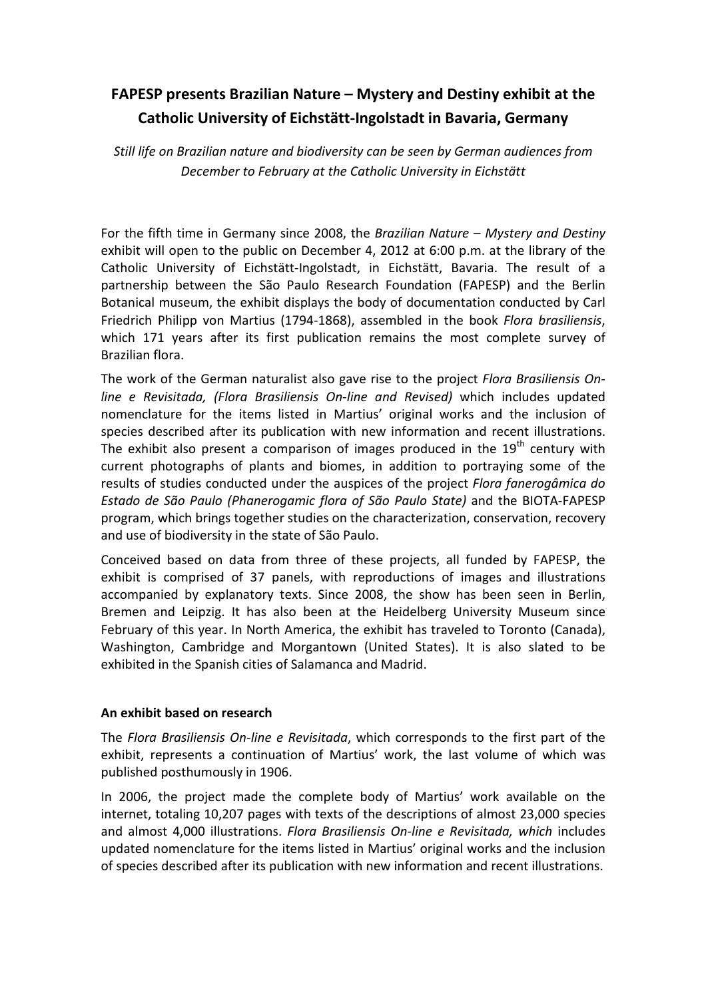# **FAPESP presents Brazilian Nature – Mystery and Destiny exhibit at the Catholic University of Eichstätt-Ingolstadt in Bavaria, Germany**

*Still life on Brazilian nature and biodiversity can be seen by German audiences from December to February at the Catholic University in Eichstätt* 

For the fifth time in Germany since 2008, the *Brazilian Nature – Mystery and Destiny*  exhibit will open to the public on December 4, 2012 at 6:00 p.m. at the library of the Catholic University of Eichstätt-Ingolstadt, in Eichstätt, Bavaria. The result of a partnership between the São Paulo Research Foundation (FAPESP) and the Berlin Botanical museum, the exhibit displays the body of documentation conducted by Carl Friedrich Philipp von Martius (1794-1868), assembled in the book *Flora brasiliensis*, which 171 years after its first publication remains the most complete survey of Brazilian flora.

The work of the German naturalist also gave rise to the project *Flora Brasiliensis Online e Revisitada, (Flora Brasiliensis On-line and Revised)* which includes updated nomenclature for the items listed in Martius' original works and the inclusion of species described after its publication with new information and recent illustrations. The exhibit also present a comparison of images produced in the  $19<sup>th</sup>$  century with current photographs of plants and biomes, in addition to portraying some of the results of studies conducted under the auspices of the project *Flora fanerogâmica do Estado de São Paulo (Phanerogamic flora of São Paulo State)* and the BIOTA-FAPESP program, which brings together studies on the characterization, conservation, recovery and use of biodiversity in the state of São Paulo.

Conceived based on data from three of these projects, all funded by FAPESP, the exhibit is comprised of 37 panels, with reproductions of images and illustrations accompanied by explanatory texts. Since 2008, the show has been seen in Berlin, Bremen and Leipzig. It has also been at the Heidelberg University Museum since February of this year. In North America, the exhibit has traveled to Toronto (Canada), Washington, Cambridge and Morgantown (United States). It is also slated to be exhibited in the Spanish cities of Salamanca and Madrid.

## **An exhibit based on research**

The *Flora Brasiliensis On-line e Revisitada*, which corresponds to the first part of the exhibit, represents a continuation of Martius' work, the last volume of which was published posthumously in 1906.

In 2006, the project made the complete body of Martius' work available on the internet, totaling 10,207 pages with texts of the descriptions of almost 23,000 species and almost 4,000 illustrations. *Flora Brasiliensis On-line e Revisitada, which* includes updated nomenclature for the items listed in Martius' original works and the inclusion of species described after its publication with new information and recent illustrations.